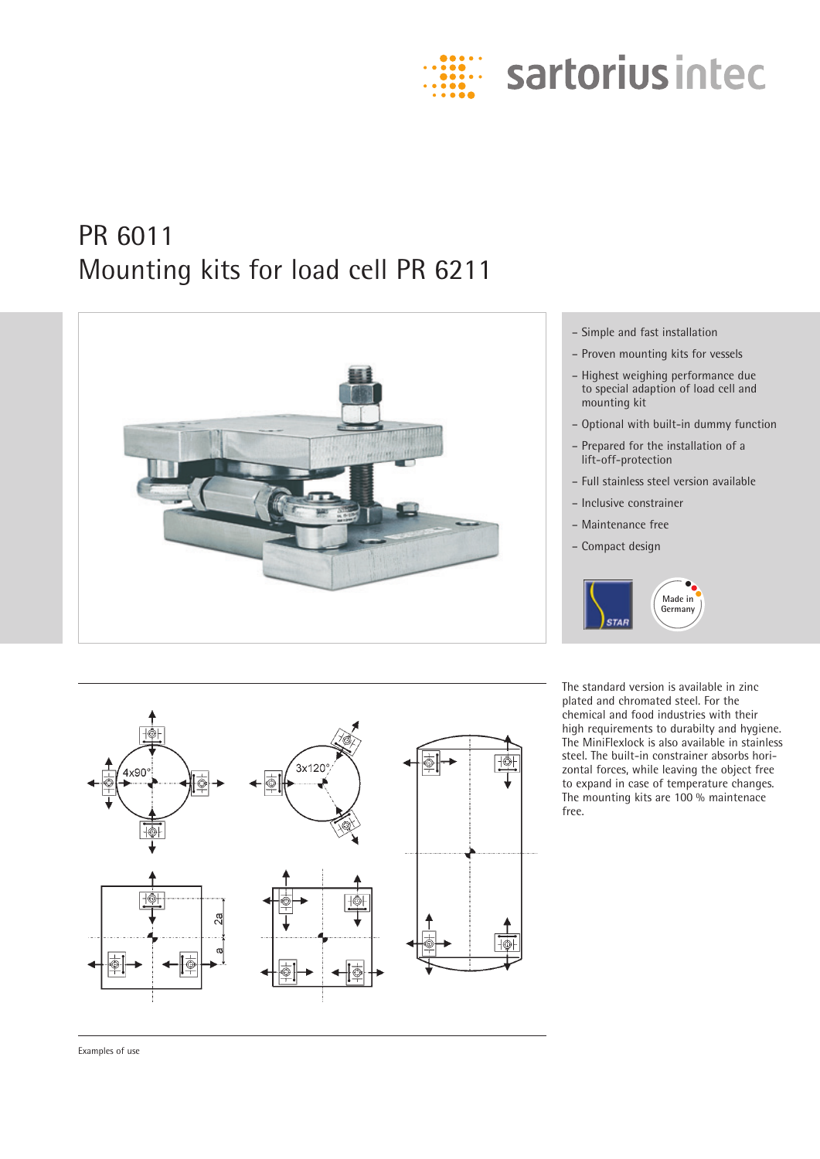

# PR 6011 Mounting kits for load cell PR 6211





- Proven mounting kits for vessels
- Highest weighing performance due to special adaption of load cell and mounting kit
- Optional with built-in dummy function
- Prepared for the installation of a lift-off-protection
- Full stainless steel version available
- Inclusive constrainer
- Maintenance free
- Compact design



The standard version is available in zinc plated and chromated steel. For the chemical and food industries with their high requirements to durabilty and hygiene. The MiniFlexlock is also available in stainless steel. The built-in constrainer absorbs horizontal forces, while leaving the object free to expand in case of temperature changes. The mounting kits are 100 % maintenace free.



Examples of use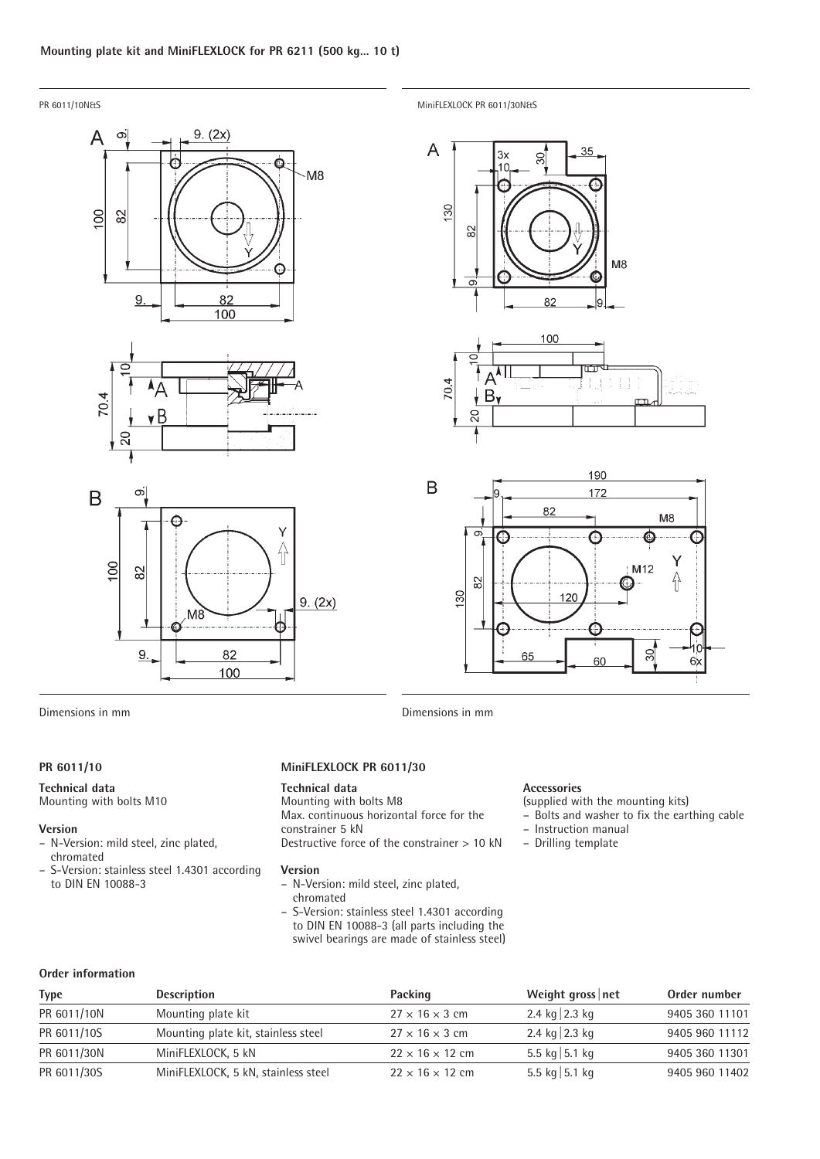







PR 6011/10N&S MiniFLEXLOCK PR 6011/30N&S







Dimensions in mm Dimensions in mm

# **PR 6011/10**

#### **Technical data**

Mounting with bolts M10

#### **Version**

- N-Version: mild steel, zinc plated, chromated
- S-Version: stainless steel 1.4301 according to DIN EN 10088-3

## **MiniFLEXLOCK PR 6011/30**

### **Technical data**

Mounting with bolts M8 Max. continuous horizontal force for the constrainer 5 kN Destructive force of the constrainer > 10 kN

#### **Version**

- N-Version: mild steel, zinc plated, chromated
- S-Version: stainless steel 1.4301 according to DIN EN 10088-3 (all parts including the swivel bearings are made of stainless steel)

# **Accessories**

(supplied with the mounting kits)

- Bolts and washer to fix the earthing cable
- Instruction manual
- Drilling template

| Order information |
|-------------------|
|                   |

| <b>Type</b> | <b>Description</b>                  | Packing                     | Weight gross $ $ net   | Order number   |
|-------------|-------------------------------------|-----------------------------|------------------------|----------------|
| PR 6011/10N | Mounting plate kit                  | $27 \times 16 \times 3$ cm  | 2.4 kg $\sqrt{2.3}$ kg | 9405 360 11101 |
| PR 6011/10S | Mounting plate kit, stainless steel | $27 \times 16 \times 3$ cm  | 2.4 kg $\sqrt{2.3}$ kg | 9405 960 11112 |
| PR 6011/30N | MiniFLEXLOCK, 5 kN                  | $22 \times 16 \times 12$ cm | 5.5 kg 5.1 kg          | 9405 360 11301 |
| PR 6011/30S | MiniFLEXLOCK, 5 kN, stainless steel | $22 \times 16 \times 12$ cm | 5.5 kg $ 5.1$ kg       | 9405 960 11402 |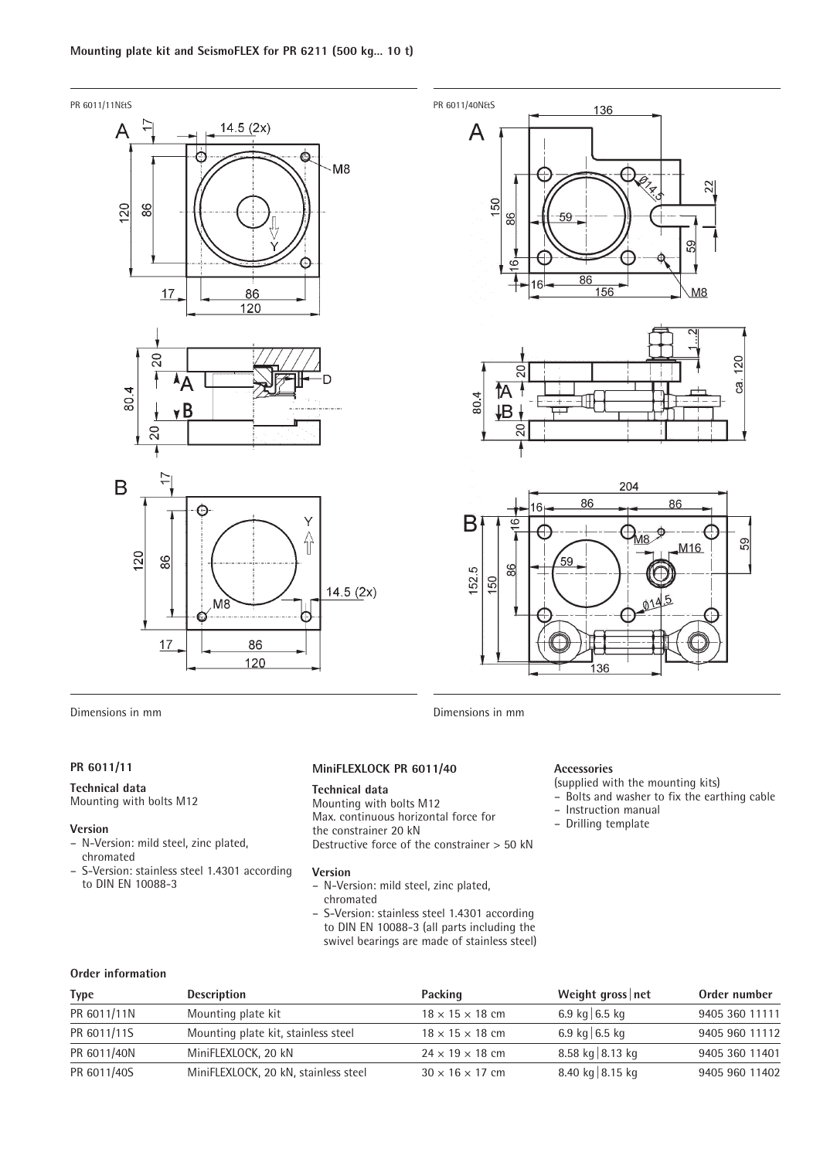



59 M<sub>16</sub> 59 152.5 88 150 136

Dimensions in mm Dimensions in mm

# **PR 6011/11**

#### **Technical data**

Mounting with bolts M12

#### **Version**

- N-Version: mild steel, zinc plated, chromated
- S-Version: stainless steel 1.4301 according to DIN EN 10088-3

# **MiniFLEXLOCK PR 6011/40**

# **Technical data**

Mounting with bolts M12 Max. continuous horizontal force for the constrainer 20 kN Destructive force of the constrainer > 50 kN

#### **Version**

- N-Version: mild steel, zinc plated, chromated
- S-Version: stainless steel 1.4301 according to DIN EN 10088-3 (all parts including the swivel bearings are made of stainless steel)

#### **Accessories**

(supplied with the mounting kits)

– Bolts and washer to fix the earthing cable

– Instruction manual

– Drilling template

# **Order information**

| <b>Type</b> | <b>Description</b>                   | Packing                     | Weight gross net   | Order number   |
|-------------|--------------------------------------|-----------------------------|--------------------|----------------|
| PR 6011/11N | Mounting plate kit                   | $18 \times 15 \times 18$ cm | 6.9 kg 6.5 kg      | 9405 360 11111 |
| PR 6011/11S | Mounting plate kit, stainless steel  | $18 \times 15 \times 18$ cm | 6.9 kg 6.5 kg      | 9405 960 11112 |
| PR 6011/40N | MiniFLEXLOCK, 20 kN                  | $24 \times 19 \times 18$ cm | 8.58 kg $ 8.13$ kg | 9405 360 11401 |
| PR 6011/40S | MiniFLEXLOCK, 20 kN, stainless steel | $30 \times 16 \times 17$ cm | 8.40 kg $ 8.15$ kg | 9405 960 11402 |